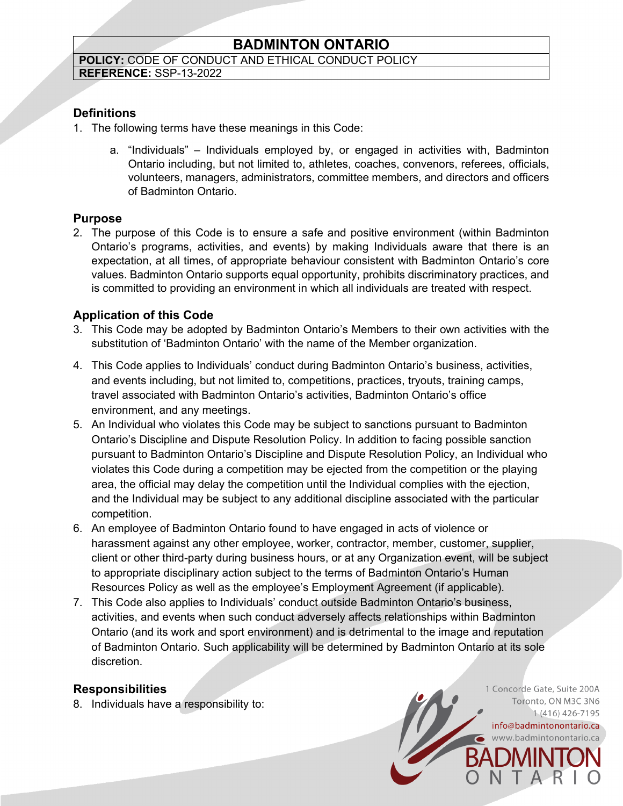# **BADMINTON ONTARIO**

#### **POLICY:** CODE OF CONDUCT AND ETHICAL CONDUCT POLICY **REFERENCE:** SSP-13-2022

**Definitions**

- 1. The following terms have these meanings in this Code:
	- a. "Individuals" Individuals employed by, or engaged in activities with, Badminton Ontario including, but not limited to, athletes, coaches, convenors, referees, officials, volunteers, managers, administrators, committee members, and directors and officers of Badminton Ontario.

### **Purpose**

2. The purpose of this Code is to ensure a safe and positive environment (within Badminton Ontario's programs, activities, and events) by making Individuals aware that there is an expectation, at all times, of appropriate behaviour consistent with Badminton Ontario's core values. Badminton Ontario supports equal opportunity, prohibits discriminatory practices, and is committed to providing an environment in which all individuals are treated with respect.

### **Application of this Code**

- 3. This Code may be adopted by Badminton Ontario's Members to their own activities with the substitution of 'Badminton Ontario' with the name of the Member organization.
- 4. This Code applies to Individuals' conduct during Badminton Ontario's business, activities, and events including, but not limited to, competitions, practices, tryouts, training camps, travel associated with Badminton Ontario's activities, Badminton Ontario's office environment, and any meetings.
- 5. An Individual who violates this Code may be subject to sanctions pursuant to Badminton Ontario's Discipline and Dispute Resolution Policy. In addition to facing possible sanction pursuant to Badminton Ontario's Discipline and Dispute Resolution Policy, an Individual who violates this Code during a competition may be ejected from the competition or the playing area, the official may delay the competition until the Individual complies with the ejection, and the Individual may be subject to any additional discipline associated with the particular competition.
- 6. An employee of Badminton Ontario found to have engaged in acts of violence or harassment against any other employee, worker, contractor, member, customer, supplier, client or other third-party during business hours, or at any Organization event, will be subject to appropriate disciplinary action subject to the terms of Badminton Ontario's Human Resources Policy as well as the employee's Employment Agreement (if applicable).
- 7. This Code also applies to Individuals' conduct outside Badminton Ontario's business, activities, and events when such conduct adversely affects relationships within Badminton Ontario (and its work and sport environment) and is detrimental to the image and reputation of Badminton Ontario. Such applicability will be determined by Badminton Ontario at its sole discretion.

### **Responsibilities**

8. Individuals have a responsibility to:

1 Concorde Gate, Suite 200A Toronto, ON M3C 3N6 1 (416) 426-7195 info@badmintonontario.ca www.badmintonontario.ca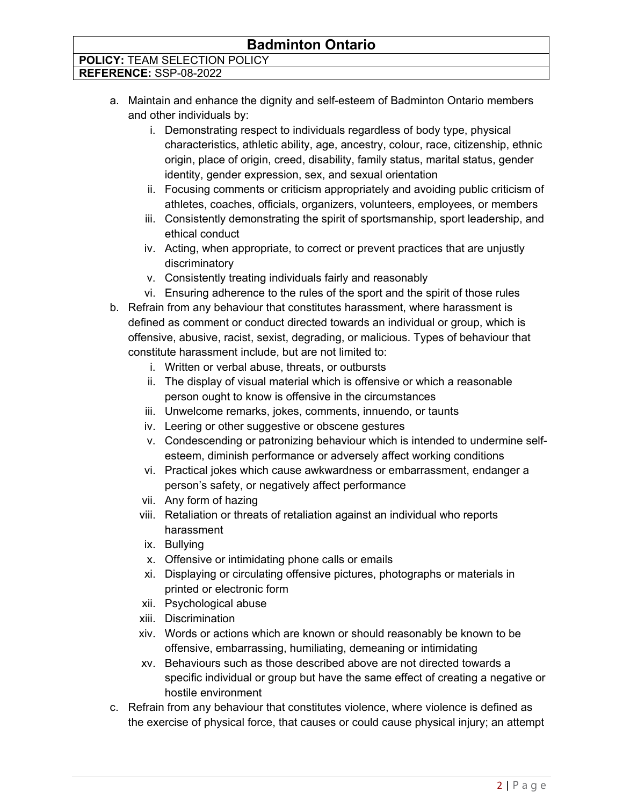## **POLICY:** TEAM SELECTION POLICY

**REFERENCE:** SSP-08-2022

- a. Maintain and enhance the dignity and self-esteem of Badminton Ontario members and other individuals by:
	- i. Demonstrating respect to individuals regardless of body type, physical characteristics, athletic ability, age, ancestry, colour, race, citizenship, ethnic origin, place of origin, creed, disability, family status, marital status, gender identity, gender expression, sex, and sexual orientation
	- ii. Focusing comments or criticism appropriately and avoiding public criticism of athletes, coaches, officials, organizers, volunteers, employees, or members
	- iii. Consistently demonstrating the spirit of sportsmanship, sport leadership, and ethical conduct
	- iv. Acting, when appropriate, to correct or prevent practices that are unjustly discriminatory
	- v. Consistently treating individuals fairly and reasonably
	- vi. Ensuring adherence to the rules of the sport and the spirit of those rules
- b. Refrain from any behaviour that constitutes harassment, where harassment is defined as comment or conduct directed towards an individual or group, which is offensive, abusive, racist, sexist, degrading, or malicious. Types of behaviour that constitute harassment include, but are not limited to:
	- i. Written or verbal abuse, threats, or outbursts
	- ii. The display of visual material which is offensive or which a reasonable person ought to know is offensive in the circumstances
	- iii. Unwelcome remarks, jokes, comments, innuendo, or taunts
	- iv. Leering or other suggestive or obscene gestures
	- v. Condescending or patronizing behaviour which is intended to undermine selfesteem, diminish performance or adversely affect working conditions
	- vi. Practical jokes which cause awkwardness or embarrassment, endanger a person's safety, or negatively affect performance
	- vii. Any form of hazing
	- viii. Retaliation or threats of retaliation against an individual who reports harassment
	- ix. Bullying
	- x. Offensive or intimidating phone calls or emails
	- xi. Displaying or circulating offensive pictures, photographs or materials in printed or electronic form
	- xii. Psychological abuse
	- xiii. Discrimination
	- xiv. Words or actions which are known or should reasonably be known to be offensive, embarrassing, humiliating, demeaning or intimidating
	- xv. Behaviours such as those described above are not directed towards a specific individual or group but have the same effect of creating a negative or hostile environment
- c. Refrain from any behaviour that constitutes violence, where violence is defined as the exercise of physical force, that causes or could cause physical injury; an attempt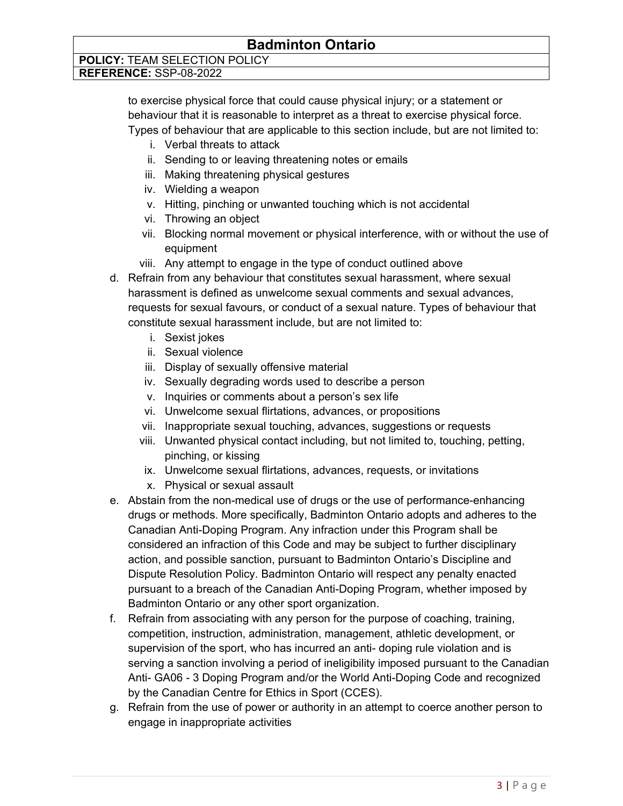# **POLICY:** TEAM SELECTION POLICY

**REFERENCE:** SSP-08-2022

to exercise physical force that could cause physical injury; or a statement or behaviour that it is reasonable to interpret as a threat to exercise physical force. Types of behaviour that are applicable to this section include, but are not limited to:

- i. Verbal threats to attack
- ii. Sending to or leaving threatening notes or emails
- iii. Making threatening physical gestures
- iv. Wielding a weapon
- v. Hitting, pinching or unwanted touching which is not accidental
- vi. Throwing an object
- vii. Blocking normal movement or physical interference, with or without the use of equipment
- viii. Any attempt to engage in the type of conduct outlined above
- d. Refrain from any behaviour that constitutes sexual harassment, where sexual harassment is defined as unwelcome sexual comments and sexual advances, requests for sexual favours, or conduct of a sexual nature. Types of behaviour that constitute sexual harassment include, but are not limited to:
	- i. Sexist jokes
	- ii. Sexual violence
	- iii. Display of sexually offensive material
	- iv. Sexually degrading words used to describe a person
	- v. Inquiries or comments about a person's sex life
	- vi. Unwelcome sexual flirtations, advances, or propositions
	- vii. Inappropriate sexual touching, advances, suggestions or requests
	- viii. Unwanted physical contact including, but not limited to, touching, petting, pinching, or kissing
	- ix. Unwelcome sexual flirtations, advances, requests, or invitations
	- x. Physical or sexual assault
- e. Abstain from the non-medical use of drugs or the use of performance-enhancing drugs or methods. More specifically, Badminton Ontario adopts and adheres to the Canadian Anti-Doping Program. Any infraction under this Program shall be considered an infraction of this Code and may be subject to further disciplinary action, and possible sanction, pursuant to Badminton Ontario's Discipline and Dispute Resolution Policy. Badminton Ontario will respect any penalty enacted pursuant to a breach of the Canadian Anti-Doping Program, whether imposed by Badminton Ontario or any other sport organization.
- f. Refrain from associating with any person for the purpose of coaching, training, competition, instruction, administration, management, athletic development, or supervision of the sport, who has incurred an anti- doping rule violation and is serving a sanction involving a period of ineligibility imposed pursuant to the Canadian Anti- GA06 - 3 Doping Program and/or the World Anti-Doping Code and recognized by the Canadian Centre for Ethics in Sport (CCES).
- g. Refrain from the use of power or authority in an attempt to coerce another person to engage in inappropriate activities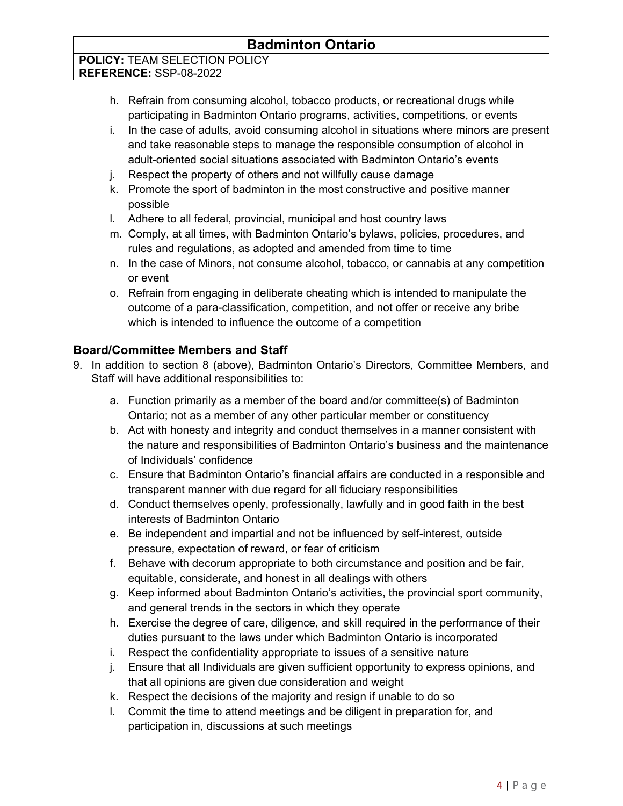# **POLICY:** TEAM SELECTION POLICY

**REFERENCE:** SSP-08-2022

- h. Refrain from consuming alcohol, tobacco products, or recreational drugs while participating in Badminton Ontario programs, activities, competitions, or events
- i. In the case of adults, avoid consuming alcohol in situations where minors are present and take reasonable steps to manage the responsible consumption of alcohol in adult-oriented social situations associated with Badminton Ontario's events
- j. Respect the property of others and not willfully cause damage
- k. Promote the sport of badminton in the most constructive and positive manner possible
- l. Adhere to all federal, provincial, municipal and host country laws
- m. Comply, at all times, with Badminton Ontario's bylaws, policies, procedures, and rules and regulations, as adopted and amended from time to time
- n. In the case of Minors, not consume alcohol, tobacco, or cannabis at any competition or event
- o. Refrain from engaging in deliberate cheating which is intended to manipulate the outcome of a para-classification, competition, and not offer or receive any bribe which is intended to influence the outcome of a competition

### **Board/Committee Members and Staff**

- 9. In addition to section 8 (above), Badminton Ontario's Directors, Committee Members, and Staff will have additional responsibilities to:
	- a. Function primarily as a member of the board and/or committee(s) of Badminton Ontario; not as a member of any other particular member or constituency
	- b. Act with honesty and integrity and conduct themselves in a manner consistent with the nature and responsibilities of Badminton Ontario's business and the maintenance of Individuals' confidence
	- c. Ensure that Badminton Ontario's financial affairs are conducted in a responsible and transparent manner with due regard for all fiduciary responsibilities
	- d. Conduct themselves openly, professionally, lawfully and in good faith in the best interests of Badminton Ontario
	- e. Be independent and impartial and not be influenced by self-interest, outside pressure, expectation of reward, or fear of criticism
	- f. Behave with decorum appropriate to both circumstance and position and be fair, equitable, considerate, and honest in all dealings with others
	- g. Keep informed about Badminton Ontario's activities, the provincial sport community, and general trends in the sectors in which they operate
	- h. Exercise the degree of care, diligence, and skill required in the performance of their duties pursuant to the laws under which Badminton Ontario is incorporated
	- i. Respect the confidentiality appropriate to issues of a sensitive nature
	- j. Ensure that all Individuals are given sufficient opportunity to express opinions, and that all opinions are given due consideration and weight
	- k. Respect the decisions of the majority and resign if unable to do so
	- l. Commit the time to attend meetings and be diligent in preparation for, and participation in, discussions at such meetings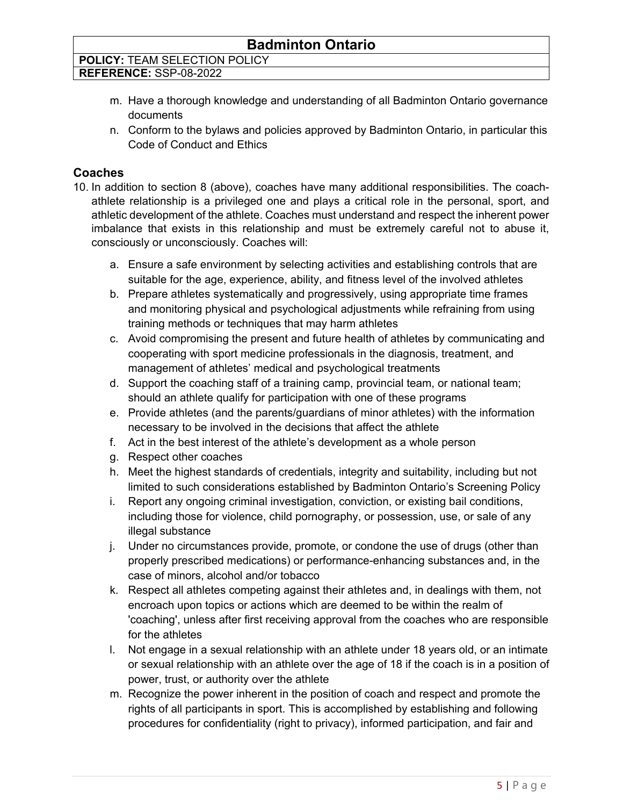| <b>POLICY: TEAM SELECTION POLICY</b> |
|--------------------------------------|
| REFERENCE: SSP-08-2022               |

- m. Have a thorough knowledge and understanding of all Badminton Ontario governance documents
- n. Conform to the bylaws and policies approved by Badminton Ontario, in particular this Code of Conduct and Ethics

#### **Coaches**

- 10. In addition to section 8 (above), coaches have many additional responsibilities. The coachathlete relationship is a privileged one and plays a critical role in the personal, sport, and athletic development of the athlete. Coaches must understand and respect the inherent power imbalance that exists in this relationship and must be extremely careful not to abuse it, consciously or unconsciously. Coaches will:
	- a. Ensure a safe environment by selecting activities and establishing controls that are suitable for the age, experience, ability, and fitness level of the involved athletes
	- b. Prepare athletes systematically and progressively, using appropriate time frames and monitoring physical and psychological adjustments while refraining from using training methods or techniques that may harm athletes
	- c. Avoid compromising the present and future health of athletes by communicating and cooperating with sport medicine professionals in the diagnosis, treatment, and management of athletes' medical and psychological treatments
	- d. Support the coaching staff of a training camp, provincial team, or national team; should an athlete qualify for participation with one of these programs
	- e. Provide athletes (and the parents/guardians of minor athletes) with the information necessary to be involved in the decisions that affect the athlete
	- f. Act in the best interest of the athlete's development as a whole person
	- g. Respect other coaches
	- h. Meet the highest standards of credentials, integrity and suitability, including but not limited to such considerations established by Badminton Ontario's Screening Policy
	- i. Report any ongoing criminal investigation, conviction, or existing bail conditions, including those for violence, child pornography, or possession, use, or sale of any illegal substance
	- j. Under no circumstances provide, promote, or condone the use of drugs (other than properly prescribed medications) or performance-enhancing substances and, in the case of minors, alcohol and/or tobacco
	- k. Respect all athletes competing against their athletes and, in dealings with them, not encroach upon topics or actions which are deemed to be within the realm of 'coaching', unless after first receiving approval from the coaches who are responsible for the athletes
	- l. Not engage in a sexual relationship with an athlete under 18 years old, or an intimate or sexual relationship with an athlete over the age of 18 if the coach is in a position of power, trust, or authority over the athlete
	- m. Recognize the power inherent in the position of coach and respect and promote the rights of all participants in sport. This is accomplished by establishing and following procedures for confidentiality (right to privacy), informed participation, and fair and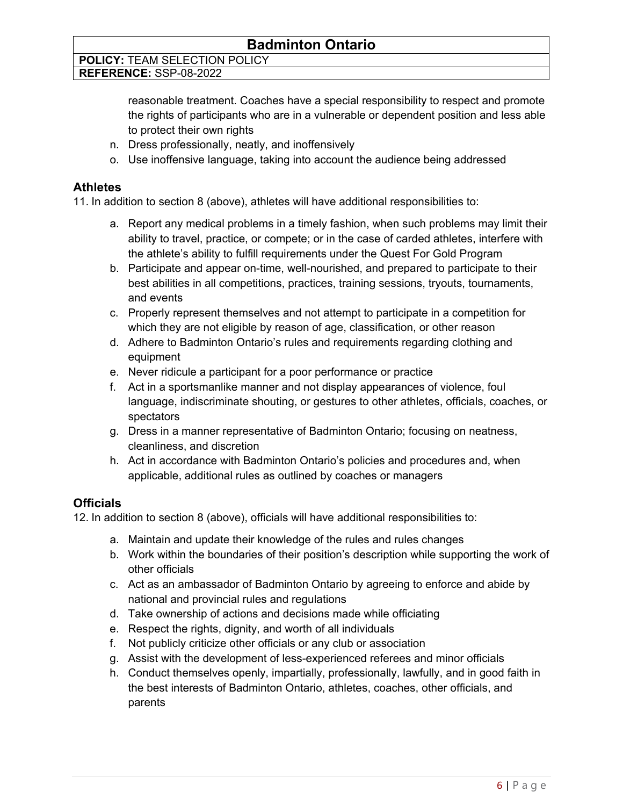**POLICY:** TEAM SELECTION POLICY

**REFERENCE:** SSP-08-2022

reasonable treatment. Coaches have a special responsibility to respect and promote the rights of participants who are in a vulnerable or dependent position and less able to protect their own rights

- n. Dress professionally, neatly, and inoffensively
- o. Use inoffensive language, taking into account the audience being addressed

#### **Athletes**

11. In addition to section 8 (above), athletes will have additional responsibilities to:

- a. Report any medical problems in a timely fashion, when such problems may limit their ability to travel, practice, or compete; or in the case of carded athletes, interfere with the athlete's ability to fulfill requirements under the Quest For Gold Program
- b. Participate and appear on-time, well-nourished, and prepared to participate to their best abilities in all competitions, practices, training sessions, tryouts, tournaments, and events
- c. Properly represent themselves and not attempt to participate in a competition for which they are not eligible by reason of age, classification, or other reason
- d. Adhere to Badminton Ontario's rules and requirements regarding clothing and equipment
- e. Never ridicule a participant for a poor performance or practice
- f. Act in a sportsmanlike manner and not display appearances of violence, foul language, indiscriminate shouting, or gestures to other athletes, officials, coaches, or spectators
- g. Dress in a manner representative of Badminton Ontario; focusing on neatness, cleanliness, and discretion
- h. Act in accordance with Badminton Ontario's policies and procedures and, when applicable, additional rules as outlined by coaches or managers

### **Officials**

12. In addition to section 8 (above), officials will have additional responsibilities to:

- a. Maintain and update their knowledge of the rules and rules changes
- b. Work within the boundaries of their position's description while supporting the work of other officials
- c. Act as an ambassador of Badminton Ontario by agreeing to enforce and abide by national and provincial rules and regulations
- d. Take ownership of actions and decisions made while officiating
- e. Respect the rights, dignity, and worth of all individuals
- f. Not publicly criticize other officials or any club or association
- g. Assist with the development of less-experienced referees and minor officials
- h. Conduct themselves openly, impartially, professionally, lawfully, and in good faith in the best interests of Badminton Ontario, athletes, coaches, other officials, and parents